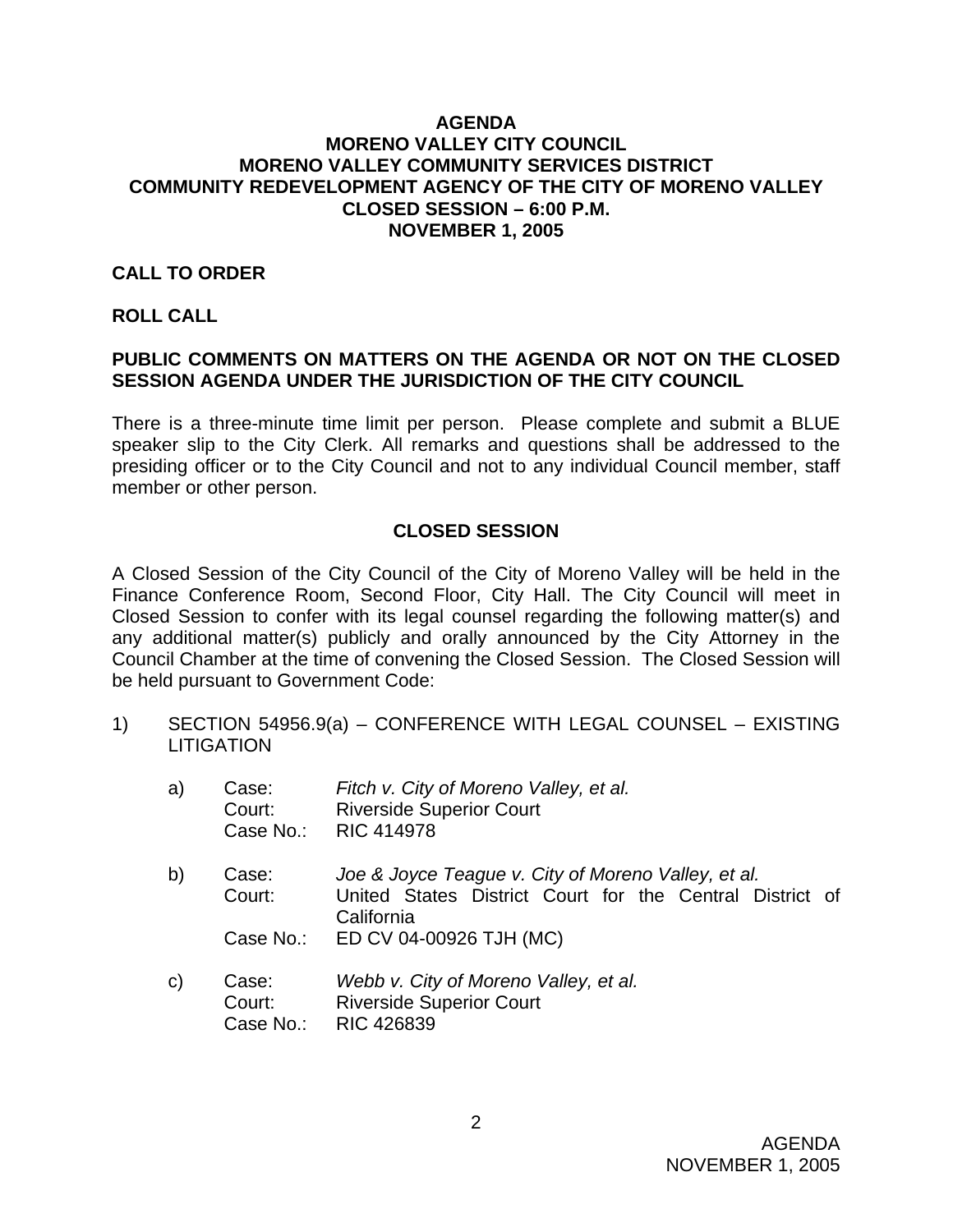#### **AGENDA MORENO VALLEY CITY COUNCIL MORENO VALLEY COMMUNITY SERVICES DISTRICT COMMUNITY REDEVELOPMENT AGENCY OF THE CITY OF MORENO VALLEY CLOSED SESSION – 6:00 P.M. NOVEMBER 1, 2005**

#### **CALL TO ORDER**

#### **ROLL CALL**

## **PUBLIC COMMENTS ON MATTERS ON THE AGENDA OR NOT ON THE CLOSED SESSION AGENDA UNDER THE JURISDICTION OF THE CITY COUNCIL**

There is a three-minute time limit per person. Please complete and submit a BLUE speaker slip to the City Clerk. All remarks and questions shall be addressed to the presiding officer or to the City Council and not to any individual Council member, staff member or other person.

### **CLOSED SESSION**

A Closed Session of the City Council of the City of Moreno Valley will be held in the Finance Conference Room, Second Floor, City Hall. The City Council will meet in Closed Session to confer with its legal counsel regarding the following matter(s) and any additional matter(s) publicly and orally announced by the City Attorney in the Council Chamber at the time of convening the Closed Session. The Closed Session will be held pursuant to Government Code:

1) SECTION 54956.9(a) – CONFERENCE WITH LEGAL COUNSEL – EXISTING **LITIGATION** 

| a)           | Case:<br>Court:<br>Case No.: | Fitch v. City of Moreno Valley, et al.<br><b>Riverside Superior Court</b><br><b>RIC 414978</b>                                |
|--------------|------------------------------|-------------------------------------------------------------------------------------------------------------------------------|
| b)           | Case:<br>Court:              | Joe & Joyce Teague v. City of Moreno Valley, et al.<br>United States District Court for the Central District of<br>California |
|              | Case No.:                    | ED CV 04-00926 TJH (MC)                                                                                                       |
| $\mathsf{C}$ | Case:<br>Court:<br>Case No.: | Webb v. City of Moreno Valley, et al.<br><b>Riverside Superior Court</b><br><b>RIC 426839</b>                                 |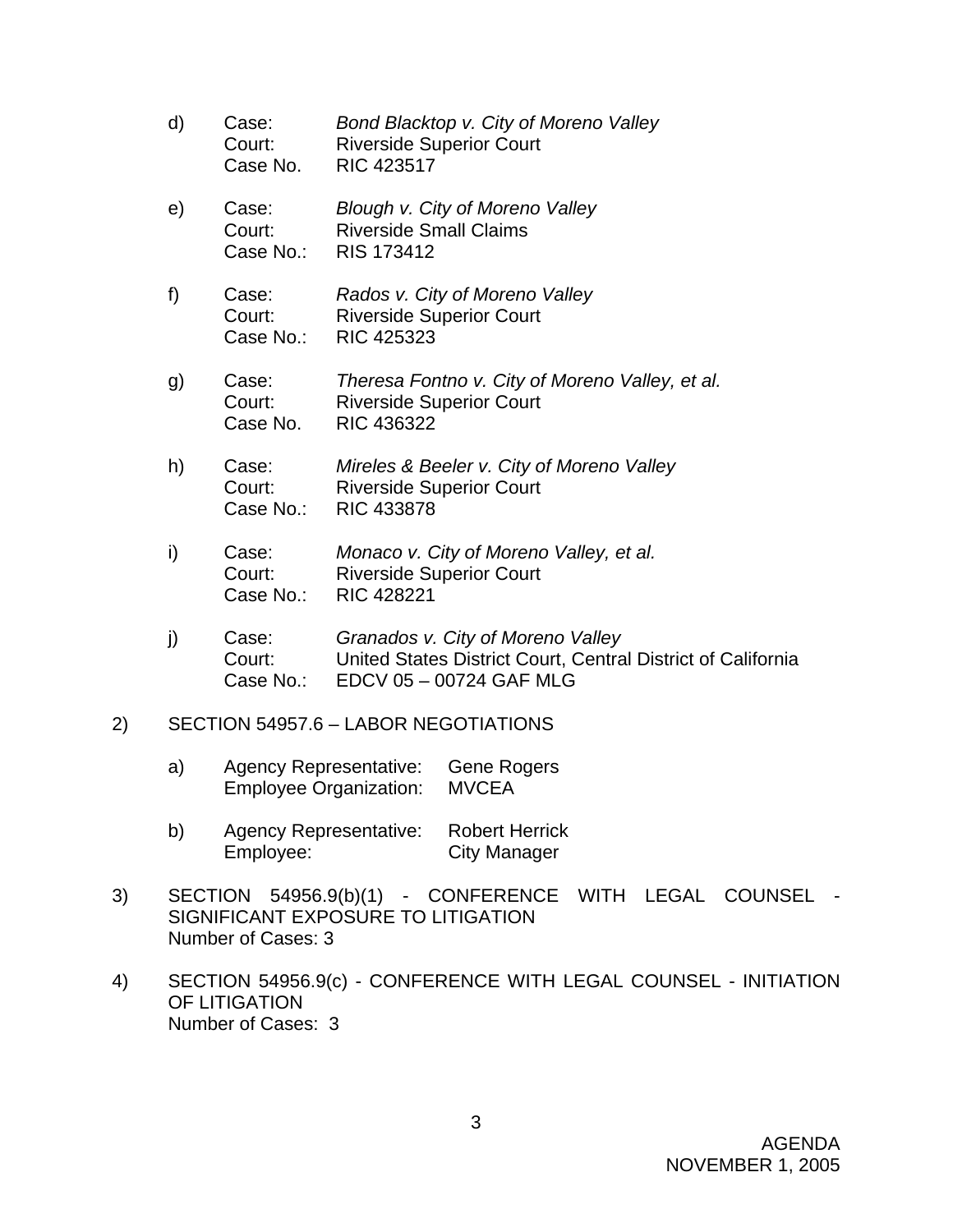- d) Case: *Bond Blacktop v. City of Moreno Valley* Court: Riverside Superior Court Case No. RIC 423517
- e) Case: *Blough v. City of Moreno Valley* Court: Riverside Small Claims Case No.: RIS 173412
- f) Case: *Rados v. City of Moreno Valley*  Court: Riverside Superior Court Case No.: RIC 425323
- g) Case: *Theresa Fontno v. City of Moreno Valley, et al.* Court: Riverside Superior Court Case No. RIC 436322
- h) Case: *Mireles & Beeler v. City of Moreno Valley*  Court: Riverside Superior Court Case No.: RIC 433878
- i) Case: *Monaco v. City of Moreno Valley, et al.*  Court: Riverside Superior Court Case No.: RIC 428221
- j) Case: *Granados v. City of Moreno Valley* Court: United States District Court, Central District of California Case No.: EDCV 05 – 00724 GAF MLG
- 2) SECTION 54957.6 LABOR NEGOTIATIONS
	- a) Agency Representative: Gene Rogers Employee Organization: MVCEA
	- b) Agency Representative: Robert Herrick Employee: City Manager
- 3) SECTION 54956.9(b)(1) CONFERENCE WITH LEGAL COUNSEL SIGNIFICANT EXPOSURE TO LITIGATION Number of Cases: 3
- 4) SECTION 54956.9(c) CONFERENCE WITH LEGAL COUNSEL INITIATION OF LITIGATION Number of Cases: 3